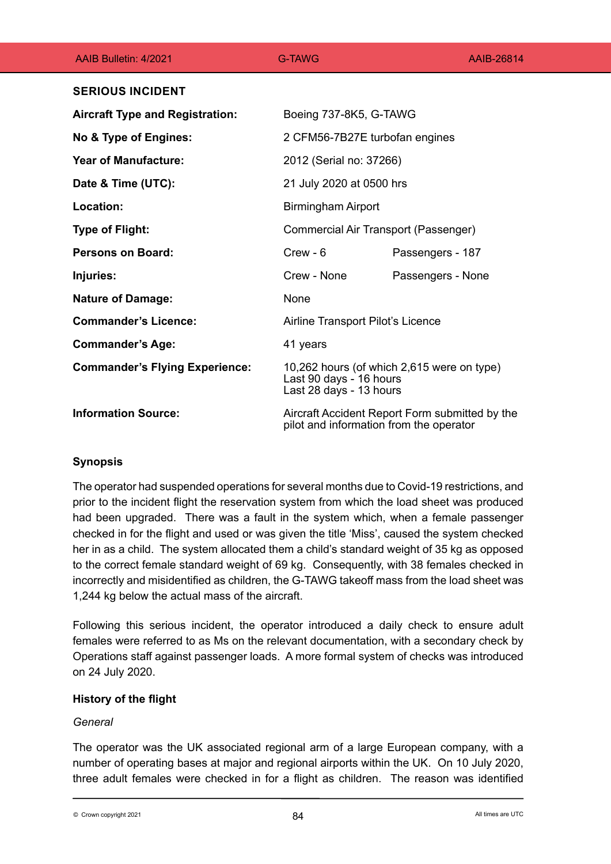| AAIB Bulletin: 4/2021                  | G-TAWG                                                                                           | AAIB-26814        |
|----------------------------------------|--------------------------------------------------------------------------------------------------|-------------------|
| <b>SERIOUS INCIDENT</b>                |                                                                                                  |                   |
| <b>Aircraft Type and Registration:</b> | Boeing 737-8K5, G-TAWG                                                                           |                   |
| No & Type of Engines:                  | 2 CFM56-7B27E turbofan engines                                                                   |                   |
| <b>Year of Manufacture:</b>            | 2012 (Serial no: 37266)                                                                          |                   |
| Date & Time (UTC):                     | 21 July 2020 at 0500 hrs                                                                         |                   |
| Location:                              | <b>Birmingham Airport</b>                                                                        |                   |
| <b>Type of Flight:</b>                 | Commercial Air Transport (Passenger)                                                             |                   |
| Persons on Board:                      | $C$ rew - 6                                                                                      | Passengers - 187  |
| Injuries:                              | Crew - None                                                                                      | Passengers - None |
| <b>Nature of Damage:</b>               | None                                                                                             |                   |
| <b>Commander's Licence:</b>            | Airline Transport Pilot's Licence                                                                |                   |
| <b>Commander's Age:</b>                | 41 years                                                                                         |                   |
| <b>Commander's Flying Experience:</b>  | 10,262 hours (of which 2,615 were on type)<br>Last 90 days - 16 hours<br>Last 28 days - 13 hours |                   |
| <b>Information Source:</b>             | Aircraft Accident Report Form submitted by the<br>pilot and information from the operator        |                   |

# **Synopsis**

The operator had suspended operations for several months due to Covid-19 restrictions, and prior to the incident flight the reservation system from which the load sheet was produced had been upgraded. There was a fault in the system which, when a female passenger checked in for the flight and used or was given the title 'Miss', caused the system checked her in as a child. The system allocated them a child's standard weight of 35 kg as opposed to the correct female standard weight of 69 kg. Consequently, with 38 females checked in incorrectly and misidentified as children, the G-TAWG takeoff mass from the load sheet was 1,244 kg below the actual mass of the aircraft.

Following this serious incident, the operator introduced a daily check to ensure adult females were referred to as Ms on the relevant documentation, with a secondary check by Operations staff against passenger loads. A more formal system of checks was introduced on 24 July 2020.

# **History of the flight**

## *General*

The operator was the UK associated regional arm of a large European company, with a number of operating bases at major and regional airports within the UK. On 10 July 2020, three adult females were checked in for a flight as children. The reason was identified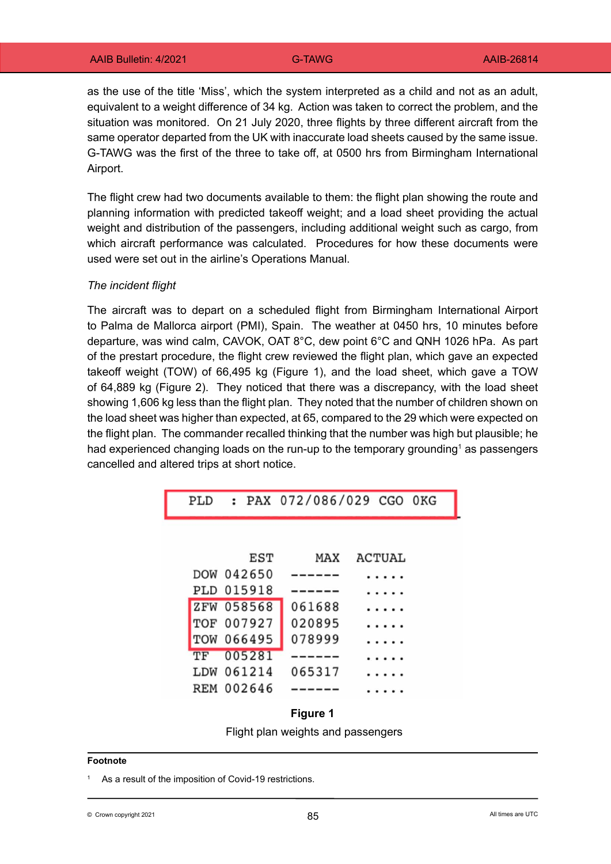as the use of the title 'Miss', which the system interpreted as a child and not as an adult, equivalent to a weight difference of 34 kg. Action was taken to correct the problem, and the situation was monitored. On 21 July 2020, three flights by three different aircraft from the same operator departed from the UK with inaccurate load sheets caused by the same issue. G-TAWG was the first of the three to take off, at 0500 hrs from Birmingham International Airport.

The flight crew had two documents available to them: the flight plan showing the route and planning information with predicted takeoff weight; and a load sheet providing the actual weight and distribution of the passengers, including additional weight such as cargo, from which aircraft performance was calculated. Procedures for how these documents were used were set out in the airline's Operations Manual.

## *The incident flight*

The aircraft was to depart on a scheduled flight from Birmingham International Airport to Palma de Mallorca airport (PMI), Spain. The weather at 0450 hrs, 10 minutes before departure, was wind calm, CAVOK, OAT 8°C, dew point 6°C and QNH 1026 hPa. As part of the prestart procedure, the flight crew reviewed the flight plan, which gave an expected takeoff weight (TOW) of 66,495 kg (Figure 1), and the load sheet, which gave a TOW of 64,889 kg (Figure 2). They noticed that there was a discrepancy, with the load sheet showing 1,606 kg less than the flight plan. They noted that the number of children shown on the load sheet was higher than expected, at 65, compared to the 29 which were expected on the flight plan. The commander recalled thinking that the number was high but plausible; he had experienced changing loads on the run-up to the temporary grounding $^{\rm 1}$  as passengers cancelled and altered trips at short notice.

|  | PLD : PAX 072/086/029 CGO 0KG |  |  |
|--|-------------------------------|--|--|
|  |                               |  |  |

|           | EST        | MAX    | ACTUAL |
|-----------|------------|--------|--------|
|           | DOW 042650 |        |        |
|           | PLD 015918 |        |        |
|           | ZFW 058568 | 061688 |        |
|           | TOF 007927 | 020895 |        |
|           | TOW 066495 | 078999 |        |
| <b>TF</b> | 005281     |        |        |
|           | LDW 061214 | 065317 |        |
|           | REM 002646 |        |        |



#### **Footnote**

As a result of the imposition of Covid-19 restrictions.

© Crown copyright 2021  $85$  Berger and the comparison of  $85$  and the comparison of  $85$  and times are UTC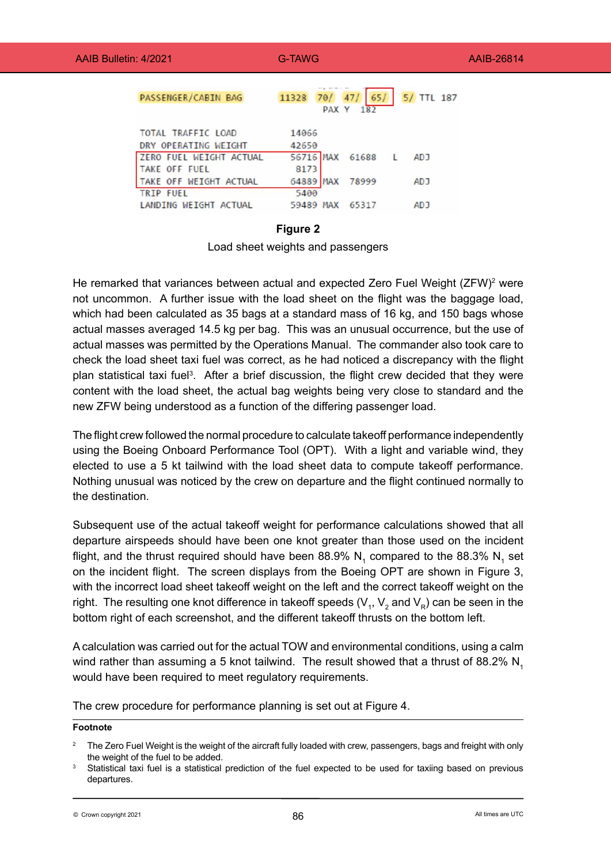| <b>PASSENGER/CABIN BAG</b> | 11328<br>701<br>PAX Y        | 65/<br>5/ TTL 187<br>182 |
|----------------------------|------------------------------|--------------------------|
| <b>TOTAL TRAFFIC LOAD</b>  | 14066                        |                          |
| DRY OPERATING WEIGHT       | 42650                        |                          |
| ZERO FUEL WEIGHT ACTUAL    | 56716 MAX 61688              | <b>ADJ</b>               |
| TAKE OFF FUEL              | 8173                         |                          |
| TAKE OFF WEIGHT ACTUAL     | 64889<br><b>MAX</b><br>78999 | <b>ADJ</b>               |
| <b>TRIP FUEL</b>           | 5400                         |                          |
| LANDING WEIGHT ACTUAL      | 59489<br><b>MAX</b><br>65317 | AD J                     |

## **Figure 2**

Load sheet weights and passengers

He remarked that variances between actual and expected Zero Fuel Weight (ZFW)<sup>2</sup> were not uncommon. A further issue with the load sheet on the flight was the baggage load, which had been calculated as 35 bags at a standard mass of 16 kg, and 150 bags whose actual masses averaged 14.5 kg per bag. This was an unusual occurrence, but the use of actual masses was permitted by the Operations Manual. The commander also took care to check the load sheet taxi fuel was correct, as he had noticed a discrepancy with the flight plan statistical taxi fuel<sup>3</sup>. After a brief discussion, the flight crew decided that they were content with the load sheet, the actual bag weights being very close to standard and the new ZFW being understood as a function of the differing passenger load.

The flight crew followed the normal procedure to calculate takeoff performance independently using the Boeing Onboard Performance Tool (OPT). With a light and variable wind, they elected to use a 5 kt tailwind with the load sheet data to compute takeoff performance. Nothing unusual was noticed by the crew on departure and the flight continued normally to the destination.

Subsequent use of the actual takeoff weight for performance calculations showed that all departure airspeeds should have been one knot greater than those used on the incident flight, and the thrust required should have been 88.9%  $\mathsf{N}_\text{\tiny{1}}$  compared to the 88.3%  $\mathsf{N}_\text{\tiny{1}}$  set on the incident flight. The screen displays from the Boeing OPT are shown in Figure 3, with the incorrect load sheet takeoff weight on the left and the correct takeoff weight on the right. The resulting one knot difference in takeoff speeds (V<sub>1</sub>, V<sub>2</sub> and V<sub>R</sub>) can be seen in the bottom right of each screenshot, and the different takeoff thrusts on the bottom left.

A calculation was carried out for the actual TOW and environmental conditions, using a calm wind rather than assuming a 5 knot tailwind. The result showed that a thrust of 88.2%  $N<sub>1</sub>$ would have been required to meet regulatory requirements.

The crew procedure for performance planning is set out at Figure 4.

### **Footnote**

The Zero Fuel Weight is the weight of the aircraft fully loaded with crew, passengers, bags and freight with only the weight of the fuel to be added.

<sup>3</sup> Statistical taxi fuel is a statistical prediction of the fuel expected to be used for taxiing based on previous departures.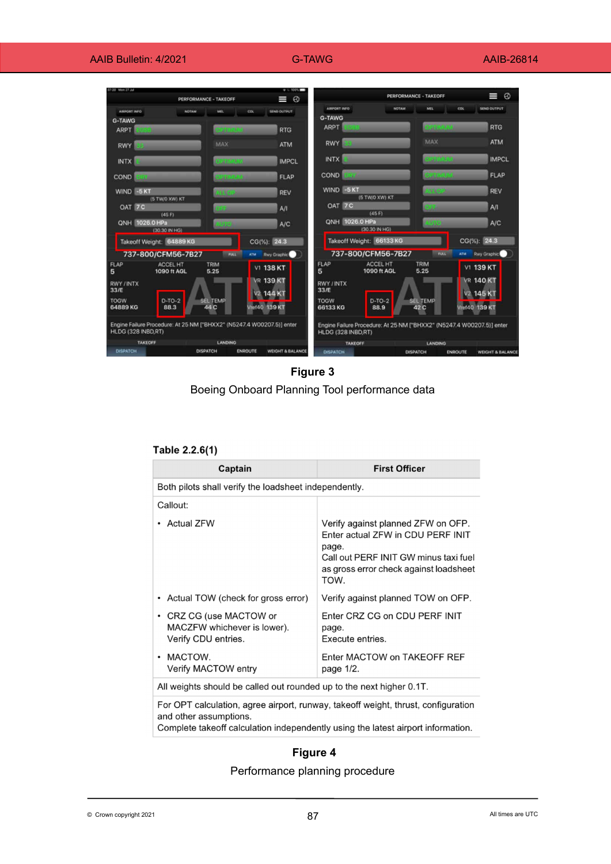| 720 Mon 27.2d                   | PERFORMANCE - TAKEOFF                                        |                                  | $+1.100h$<br>I<br>$\circ$ |                              |                          | <b>PERFORMANCE - TAKEOFF</b> | $\circ$<br>W                     |
|---------------------------------|--------------------------------------------------------------|----------------------------------|---------------------------|------------------------------|--------------------------|------------------------------|----------------------------------|
| <b>AIRPORT INFO</b>             | <b>NOTAM</b>                                                 | CDL                              | <b>SEND OUTPUT</b>        | AIRPORT INFO                 | NOTAM                    | MIL                          | SEND OUTPUT<br>CDL               |
| <b>G-TAWG</b>                   |                                                              |                                  |                           | <b>G-TAWG</b><br><b>ARPT</b> |                          | <b>EXPERIMENT</b>            | <b>RTG</b>                       |
| <b>ARPT</b>                     |                                                              | <b>STIMBER</b>                   | <b>RTG</b>                |                              |                          |                              |                                  |
| <b>RWY</b>                      | MAX                                                          |                                  | <b>ATM</b>                | <b>RWY</b>                   |                          | MAX                          | <b>ATM</b>                       |
| <b>INTX</b>                     |                                                              | <b><i><u>CONTRACTORS</u></i></b> | <b>IMPCL</b>              | <b>INTX</b>                  |                          | <b>STARTON</b>               | <b>IMPCL</b>                     |
| <b>COND</b>                     |                                                              | <b>REINFORCE</b>                 | <b>FLAP</b>               | COND                         |                          | <b>SANCADO</b>               | <b>FLAP</b>                      |
| WIND -5 KT<br>(5 TW/O XW) KT    | лиян                                                         |                                  | <b>REV</b>                | WIND -5KT                    | (5 TW/O XW) KT           | 14.000                       | <b>REV</b>                       |
| OAT 7C<br>(45F)                 |                                                              |                                  | A/I                       | OAT 7C                       | (45 F)                   |                              | A/I                              |
| QNH 1026.0 HPa<br>(30.30 IN HG) | <b>Firem</b>                                                 |                                  | A/C                       | <b>QNH</b> 1026.0 HPa        | (30.30 IN HG)            |                              | A/C                              |
| Takeoff Weight: 64889 KG        |                                                              |                                  | CG(%): 24.3               |                              | Takeoff Weight: 66133 KG |                              | CG(%): 24.3                      |
| 737-800/CFM56-7B27              |                                                              | <b>FULL</b><br>ATM               | <b>Rwy Graphic</b>        |                              | 737-800/CFM56-7B27       | <b>TOLE</b>                  | <b>Rwy Graphic</b><br><b>ATM</b> |
| <b>FLAP</b><br>5                | <b>ACCEL HT</b><br><b>TRIM</b><br>5.25<br><b>1090 ft AGL</b> |                                  | V1 138 KT                 | FLAP<br>5                    | ACCEL HT<br>1090 ft AGL  | <b>TRIM</b><br>5.25          | V1 139 KT                        |
| <b>RWY / INTX</b>               |                                                              |                                  | <b>VR 139 KT</b>          | <b>RWY/INTX</b>              |                          |                              | <b>VR 140 KT</b>                 |
| 33/E                            |                                                              |                                  | V2 144 KT                 | 33/E                         |                          |                              | V <sub>2</sub> 145 K             |
| <b>TOGW</b><br>64889 KG<br>88.3 | $D-TO-2$<br><b>SEL TEMP</b><br>44 C                          |                                  | Vret40 139 KT             | <b>TOGW</b><br>66133 KG      | $D-TO-2$<br>88.9         | <b>SEL TEMP</b><br>42 C      | Vret40 139 KT                    |

**Figure 3** Boeing Onboard Planning Tool performance data

| Table 2.2.6(1) |  |  |
|----------------|--|--|
|                |  |  |

| Captain                                                                                  | <b>First Officer</b>                                                                                                                                                        |  |  |
|------------------------------------------------------------------------------------------|-----------------------------------------------------------------------------------------------------------------------------------------------------------------------------|--|--|
| Both pilots shall verify the loadsheet independently.                                    |                                                                                                                                                                             |  |  |
| Callout:                                                                                 |                                                                                                                                                                             |  |  |
| <b>Actual ZFW</b>                                                                        | Verify against planned ZFW on OFP.<br>Enter actual ZFW in CDU PERF INIT<br>page.<br>Call out PERF INIT GW minus taxi fuel<br>as gross error check against loadsheet<br>TOW. |  |  |
| Actual TOW (check for gross error)                                                       | Verify against planned TOW on OFP.                                                                                                                                          |  |  |
| CRZ CG (use MACTOW or<br>$\bullet$<br>MACZFW whichever is lower).<br>Verify CDU entries. | Enter CRZ CG on CDU PERF INIT<br>page.<br>Execute entries.                                                                                                                  |  |  |
| MACTOW.<br>$\bullet$<br>Verify MACTOW entry                                              | Enter MACTOW on TAKEOFF REF<br>page 1/2.                                                                                                                                    |  |  |
| All weights should be called out rounded up to the next higher 0.1T.                     |                                                                                                                                                                             |  |  |

For OPT calculation, agree airport, runway, takeoff weight, thrust, configuration and other assumptions.

Complete takeoff calculation independently using the latest airport information.

# **Figure 4**

# Performance planning procedure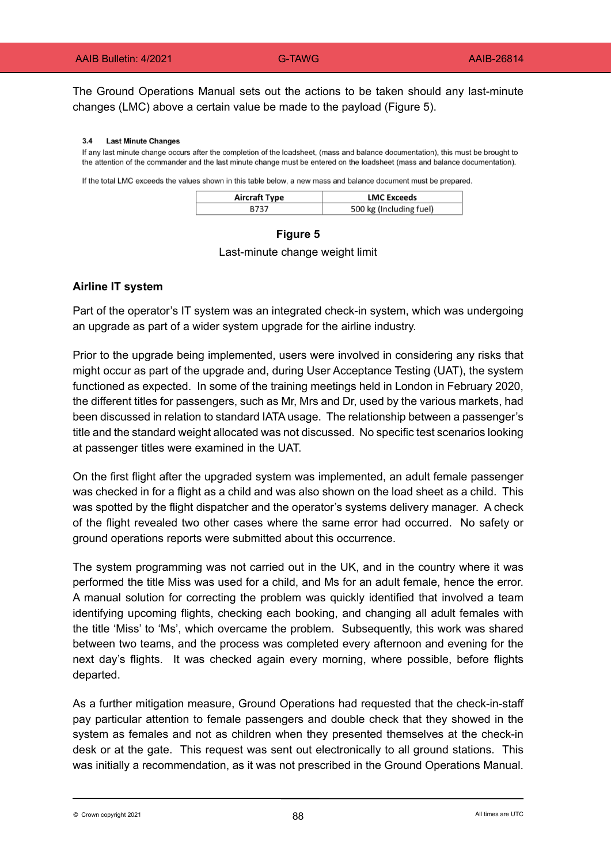The Ground Operations Manual sets out the actions to be taken should any last-minute changes (LMC) above a certain value be made to the payload (Figure 5).

#### $3.4$ **Last Minute Changes**

If any last minute change occurs after the completion of the loadsheet, (mass and balance documentation), this must be brought to the attention of the commander and the last minute change must be entered on the loadsheet (mass and balance documentation).

If the total LMC exceeds the values shown in this table below, a new mass and balance document must be prepared.

| Aircraft Type | <b>LMC Exceeds</b>      |
|---------------|-------------------------|
| B737          | 500 kg (Including fuel) |

# **Figure 5** Last-minute change weight limit

## **Airline IT system**

Part of the operator's IT system was an integrated check-in system, which was undergoing an upgrade as part of a wider system upgrade for the airline industry.

Prior to the upgrade being implemented, users were involved in considering any risks that might occur as part of the upgrade and, during User Acceptance Testing (UAT), the system functioned as expected. In some of the training meetings held in London in February 2020, the different titles for passengers, such as Mr, Mrs and Dr, used by the various markets, had been discussed in relation to standard IATA usage. The relationship between a passenger's title and the standard weight allocated was not discussed. No specific test scenarios looking at passenger titles were examined in the UAT.

On the first flight after the upgraded system was implemented, an adult female passenger was checked in for a flight as a child and was also shown on the load sheet as a child. This was spotted by the flight dispatcher and the operator's systems delivery manager. A check of the flight revealed two other cases where the same error had occurred. No safety or ground operations reports were submitted about this occurrence.

The system programming was not carried out in the UK, and in the country where it was performed the title Miss was used for a child, and Ms for an adult female, hence the error. A manual solution for correcting the problem was quickly identified that involved a team identifying upcoming flights, checking each booking, and changing all adult females with the title 'Miss' to 'Ms', which overcame the problem. Subsequently, this work was shared between two teams, and the process was completed every afternoon and evening for the next day's flights. It was checked again every morning, where possible, before flights departed.

As a further mitigation measure, Ground Operations had requested that the check-in-staff pay particular attention to female passengers and double check that they showed in the system as females and not as children when they presented themselves at the check-in desk or at the gate. This request was sent out electronically to all ground stations. This was initially a recommendation, as it was not prescribed in the Ground Operations Manual.

 $\otimes$  Crown copyright 2021 **All times are UTC**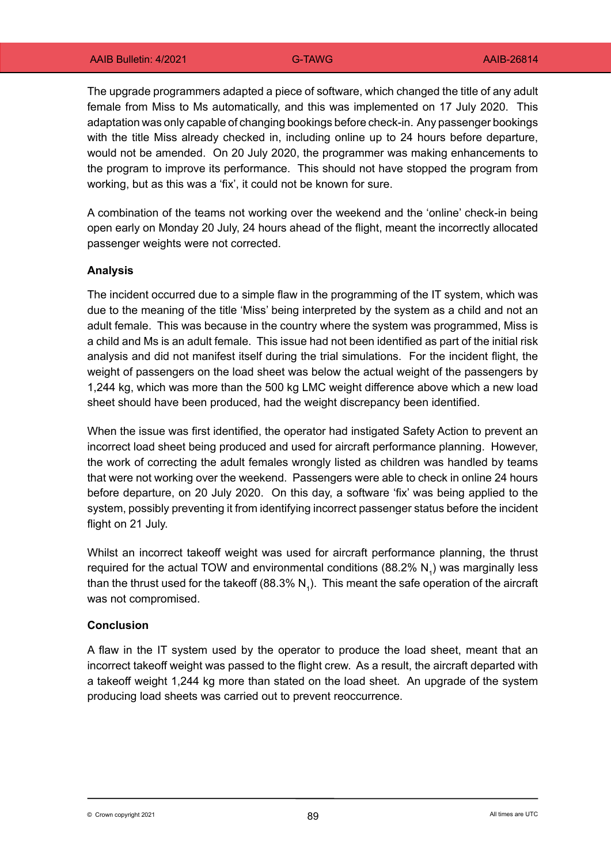The upgrade programmers adapted a piece of software, which changed the title of any adult female from Miss to Ms automatically, and this was implemented on 17 July 2020. This adaptation was only capable of changing bookings before check-in. Any passenger bookings with the title Miss already checked in, including online up to 24 hours before departure, would not be amended. On 20 July 2020, the programmer was making enhancements to the program to improve its performance. This should not have stopped the program from working, but as this was a 'fix', it could not be known for sure.

A combination of the teams not working over the weekend and the 'online' check-in being open early on Monday 20 July, 24 hours ahead of the flight, meant the incorrectly allocated passenger weights were not corrected.

### **Analysis**

The incident occurred due to a simple flaw in the programming of the IT system, which was due to the meaning of the title 'Miss' being interpreted by the system as a child and not an adult female. This was because in the country where the system was programmed, Miss is a child and Ms is an adult female. This issue had not been identified as part of the initial risk analysis and did not manifest itself during the trial simulations. For the incident flight, the weight of passengers on the load sheet was below the actual weight of the passengers by 1,244 kg, which was more than the 500 kg LMC weight difference above which a new load sheet should have been produced, had the weight discrepancy been identified.

When the issue was first identified, the operator had instigated Safety Action to prevent an incorrect load sheet being produced and used for aircraft performance planning. However, the work of correcting the adult females wrongly listed as children was handled by teams that were not working over the weekend. Passengers were able to check in online 24 hours before departure, on 20 July 2020. On this day, a software 'fix' was being applied to the system, possibly preventing it from identifying incorrect passenger status before the incident flight on 21 July.

Whilst an incorrect takeoff weight was used for aircraft performance planning, the thrust required for the actual TOW and environmental conditions (88.2%  $\mathsf{N}_{\mathsf{1}}$ ) was marginally less than the thrust used for the takeoff (88.3% N<sub>1</sub>). This meant the safe operation of the aircraft was not compromised.

### **Conclusion**

A flaw in the IT system used by the operator to produce the load sheet, meant that an incorrect takeoff weight was passed to the flight crew. As a result, the aircraft departed with a takeoff weight 1,244 kg more than stated on the load sheet. An upgrade of the system producing load sheets was carried out to prevent reoccurrence.

 $\otimes$  Crown copyright 2021 **All times are UTC**